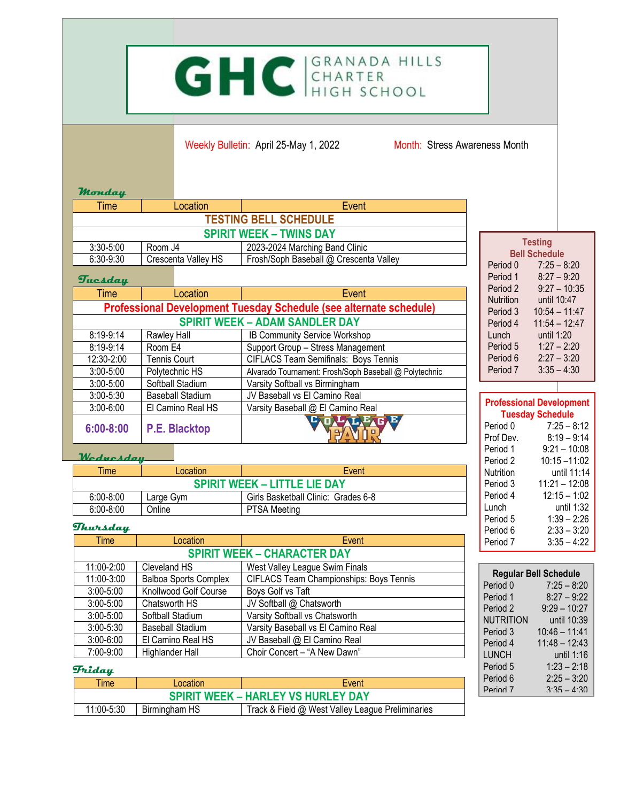# GHC GRANADA HILLS

Weekly Bulletin: April 25-May 1, 2022 Month: Stress Awareness Month

#### **Monday**

| <b>Time</b>                    | Location            | Event                                  |
|--------------------------------|---------------------|----------------------------------------|
| <b>TESTING BELL SCHEDULE</b>   |                     |                                        |
| <b>SPIRIT WEEK - TWINS DAY</b> |                     |                                        |
| $3:30 - 5:00$                  | Room J4             | 2023-2024 Marching Band Clinic         |
| $6:30-9:30$                    | Crescenta Valley HS | Frosh/Soph Baseball @ Crescenta Valley |

## **Tuesday**

| -----------                                                        |                         |                                                        |  |
|--------------------------------------------------------------------|-------------------------|--------------------------------------------------------|--|
| Time                                                               | Location                | Event                                                  |  |
| Professional Development Tuesday Schedule (see alternate schedule) |                         |                                                        |  |
| <b>SPIRIT WEEK - ADAM SANDLER DAY</b>                              |                         |                                                        |  |
| 8:19-9:14                                                          | Rawley Hall             | IB Community Service Workshop                          |  |
| 8:19-9:14                                                          | Room E4                 | Support Group - Stress Management                      |  |
| 12:30-2:00                                                         | <b>Tennis Court</b>     | <b>CIFLACS Team Semifinals: Boys Tennis</b>            |  |
| $3:00 - 5:00$                                                      | Polytechnic HS          | Alvarado Tournament: Frosh/Soph Baseball @ Polytechnic |  |
| $3:00 - 5:00$                                                      | Softball Stadium        | Varsity Softball vs Birmingham                         |  |
| $3:00 - 5:30$                                                      | <b>Baseball Stadium</b> | JV Baseball vs El Camino Real                          |  |
| $3:00 - 6:00$                                                      | El Camino Real HS       | Varsity Baseball @ El Camino Real                      |  |
| $6:00 - 8:00$                                                      | <b>P.E. Blacktop</b>    |                                                        |  |

#### **Wednesday**

| <b>Time</b>                         | Location  | Event                               |
|-------------------------------------|-----------|-------------------------------------|
| <b>SPIRIT WEEK - LITTLE LIE DAY</b> |           |                                     |
| $6:00 - 8:00$                       | Large Gym | Girls Basketball Clinic: Grades 6-8 |
| $6:00 - 8:00$                       | Online    | <b>PTSA Meeting</b>                 |

#### **Thursday**

| <b>Time</b>                        | Location                     | Event                                          |
|------------------------------------|------------------------------|------------------------------------------------|
| <b>SPIRIT WEEK - CHARACTER DAY</b> |                              |                                                |
| 11:00-2:00                         | Cleveland HS                 | West Valley League Swim Finals                 |
| 11:00-3:00                         | <b>Balboa Sports Complex</b> | <b>CIFLACS Team Championships: Boys Tennis</b> |
| $3:00 - 5:00$                      | Knollwood Golf Course        | Boys Golf vs Taft                              |
| $3:00 - 5:00$                      | Chatsworth HS                | JV Softball @ Chatsworth                       |
| $3:00 - 5:00$                      | Softball Stadium             | Varsity Softball vs Chatsworth                 |
| $3:00 - 5:30$                      | <b>Baseball Stadium</b>      | Varsity Baseball vs El Camino Real             |
| $3:00 - 6:00$                      | El Camino Real HS            | JV Baseball @ El Camino Real                   |
| 7:00-9:00                          | Highlander Hall              | Choir Concert - "A New Dawn"                   |

### **Friday**

| <b>Time</b>                               | Location      | Event                                            |
|-------------------------------------------|---------------|--------------------------------------------------|
| <b>SPIRIT WEEK - HARLEY VS HURLEY DAY</b> |               |                                                  |
| 11:00-5:30                                | Birmingham HS | Track & Field @ West Valley League Preliminaries |

| <b>Testing</b> |                      |  |
|----------------|----------------------|--|
|                | <b>Bell Schedule</b> |  |
| Period 0       | $7:25 - 8:20$        |  |
| Period 1       | $8:27 - 9:20$        |  |
| Period 2       | $9:27 - 10:35$       |  |
| Nutrition      | until 10:47          |  |
| Period 3       | $10:54 - 11:47$      |  |
| Period 4       | $11:54 - 12:47$      |  |
| $L$ unch       | until 1:20           |  |
| Period 5       | $1:27 - 2:20$        |  |
| Period 6       | $2:27 - 3:20$        |  |
| Period 7       | $3:35 - 4:30$        |  |

| <b>Professional Development</b><br><b>Tuesday Schedule</b> |                 |
|------------------------------------------------------------|-----------------|
| Period 0                                                   | $7:25 - 8:12$   |
| Prof Dev.                                                  | $8:19 - 9:14$   |
| Period 1                                                   | $9:21 - 10:08$  |
| Period 2                                                   | $10:15 - 11:02$ |
| Nutrition                                                  | until 11·14     |
| Period 3                                                   | $11:21 - 12:08$ |
| Period 4                                                   | $12:15 - 1:02$  |
| Lunch                                                      | until 1:32      |
| Period 5                                                   | $1:39 - 2:26$   |
| Period 6                                                   | $2:33 - 3:20$   |
| Period 7                                                   | $3:35 - 4:22$   |

| <b>Regular Bell Schedule</b> |                 |  |
|------------------------------|-----------------|--|
| Period 0                     | $7:25 - 8:20$   |  |
| Period 1                     | $8:27 - 9:22$   |  |
| Period 2                     | $9:29 - 10:27$  |  |
| NUTRITION                    | until 10:39     |  |
| Period 3                     | $10:46 - 11:41$ |  |
| Period 4                     | $11:48 - 12:43$ |  |
| LUNCH                        | until 1:16      |  |
| Period 5                     | $1:23 - 2:18$   |  |
| Period 6                     | $2:25 - 3:20$   |  |
| Period <sub>7</sub>          | $3:35 - 4:30$   |  |